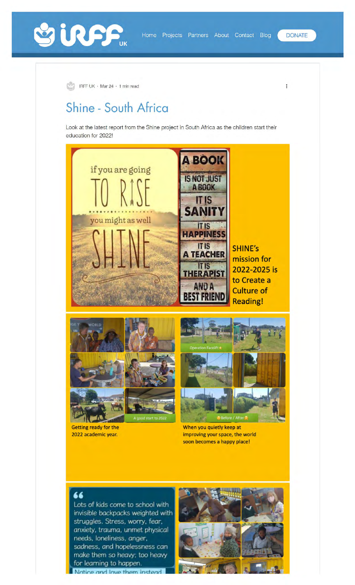



IRFF UK · Mar 24 · 1 min read

## **Shine - South Africa**

Look at the latest report from the Shine project in South Africa as the children start their education for 2022!





**Getting ready for the 2022 academic year.** 



**When you quietly keep at improving your space, the world soon becomes a happy place** I

66<br>Lots of kids come to school with invisible backpacks weighted with struggles. Stress. worry. fear. anxiety, trauma, unmet physical needs, loneliness. anger. sadness, and hopelessness can make them so heavy; too heavy for learning to happen.

Notice and love them instead



 $\colon$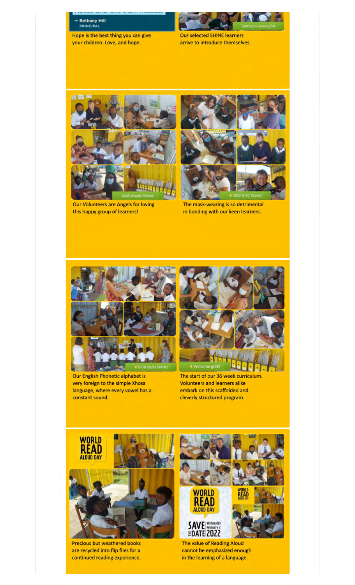

Hope is the best thing you can give your children. Love, and hope.



Our selected SHINE learners arrive to introduce themselves.



Our Volunteers are Angels for loving this happy group of learners!



The mask-wearing is so detrimental in bonding with our keen learners.



Our English Phonetic alphabet is very foreign to the simple Xhosa language, where every vowel has a constant sound.



The start of our 36 **week** curriculum. Volunteers and learners alike embark on this scaffolded and cleverly structured program.



Precious but weathered books are recycled into flip files for a continued reading experience.



The value of **Reading** Aloud cannot be emphasized enough in the learning of **a language.**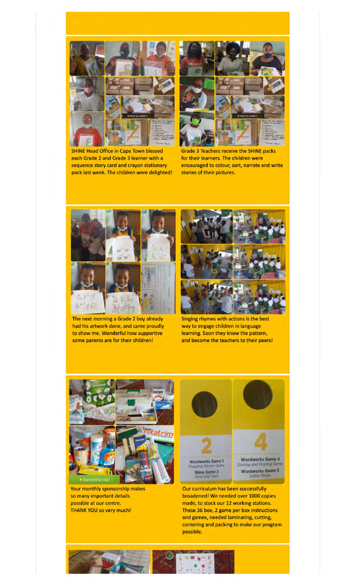

SHINE Head Office in Cape Town blessed each Grade 2 and Grade 3 learner with a sequence story card and crayon stationary pack last week. The children were delighted!



Grade 3 Teachers receive the SHINE packs for their learners. The children were encouraged to colour, sort, narrate and write stories of their pictures.



The next morning a Grade 2 boy already had his artwork done, and came proudly to show me. Wonderful how supportive some parents are for their children!



Singing rhymes with actions is the best way to engage children in language learning. Soon they know the pattern, and become the teachers to their peers!



Your monthly sponsorship makes so many important details possible at our centre. THANK YOU so very much!



Our curriculum has been successfully broadened! We needed over 1000 copies made, to stock our 12 working stations. These 36 box, 2 game per box instructions and games, needed laminating, cutting, cornering and packing to make our program possible.